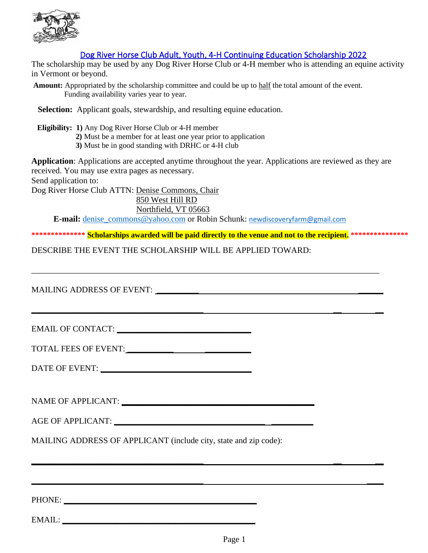

## Dog River Horse Club Adult, Youth, 4-H Continuing Education Scholarship 2022

The scholarship may be used by any Dog River Horse Club or 4-H member who is attending an equine activity in Vermont or beyond.

**Amount:** Appropriated by the scholarship committee and could be up to half the total amount of the event. Funding availability varies year to year.

**Selection:** Applicant goals, stewardship, and resulting equine education.

 **Eligibility: 1)** Any Dog River Horse Club or 4-H member

**2)** Must be a member for at least one year prior to application

**3)** Must be in good standing with DRHC or 4-H club

**Application**: Applications are accepted anytime throughout the year. Applications are reviewed as they are received. You may use extra pages as necessary. Send application to:

Dog River Horse Club ATTN: Denise Commons, Chair

 850 West Hill RD Northfield, VT 05663

**E-mail:** [denise\\_commons@yahoo.com](about:blank) or Robin Schunk: [newdiscoveryfarm@gmail.com](about:blank)

\_\_\_\_\_\_\_\_\_\_\_\_\_\_\_\_\_\_\_\_\_\_\_\_\_\_\_\_\_\_\_\_\_\_\_\_\_\_\_\_\_\_\_\_\_\_\_\_\_\_\_\_\_\_\_\_\_\_\_\_\_\_\_\_\_\_\_\_\_\_\_\_\_\_\_\_\_\_\_\_\_\_\_

**\_\_\_\_\_\_\_\_\_\_\_\_\_\_\_\_\_\_\_\_\_\_\_\_\_\_\_\_\_\_\_\_\_\_\_\_\_\_\_\_\_ \_\_ \_\_** 

**\_\_\_\_\_\_\_\_\_\_\_\_\_\_\_\_\_\_\_\_\_\_\_\_\_\_\_\_\_\_\_\_\_\_\_\_\_\_\_\_\_ \_\_ \_\_**

**\_\_\_\_\_\_\_\_\_\_\_\_\_\_\_\_\_\_\_\_\_\_\_\_\_\_\_\_\_\_\_\_\_\_\_\_\_\_\_\_\_ \_\_\_\_** 

**\*\*\*\*\*\*\*\*\*\*\*\*\*\* Scholarships awarded will be paid directly to the venue and not to the recipient. \*\*\*\*\*\*\*\*\*\*\*\*\*\*\***

DESCRIBE THE EVENT THE SCHOLARSHIP WILL BE APPLIED TOWARD:

MAILING ADDRESS OF EVENT: **\_\_\_\_\_\_\_\_\_\_ \_\_\_\_\_\_**

EMAIL OF CONTACT: **\_\_\_\_\_\_\_\_\_\_\_\_\_\_\_\_\_\_\_\_\_\_\_\_\_\_\_\_\_\_\_\_**

TOTAL FEES OF EVENT: **\_\_\_\_\_\_\_\_\_\_\_ \_\_\_\_\_\_\_\_\_\_\_**

DATE OF EVENT: **\_\_\_\_\_\_\_\_\_\_\_\_\_\_\_\_\_\_\_\_\_\_\_\_\_\_\_\_\_\_\_\_\_\_\_\_**

NAME OF APPLICANT: **with a set of a set of a set of a set of a set of a set of a set of a set of a set of a set of a set of a set of a set of a set of a set of a set of a set of a set of a set of a set of a set of a set of** 

AGE OF APPLICANT: **\_\_\_\_\_\_\_\_\_\_\_\_\_\_\_\_\_\_\_\_\_\_\_\_\_\_\_\_\_\_\_\_\_\_\_\_ \_\_\_\_\_\_\_\_\_\_**

MAILING ADDRESS OF APPLICANT (include city, state and zip code):

PHONE:

EMAIL: **\_\_\_\_\_\_\_\_\_\_\_\_\_\_\_\_\_\_\_\_\_\_\_\_\_\_\_\_\_\_\_\_\_\_\_\_\_\_\_\_\_\_\_\_\_\_**